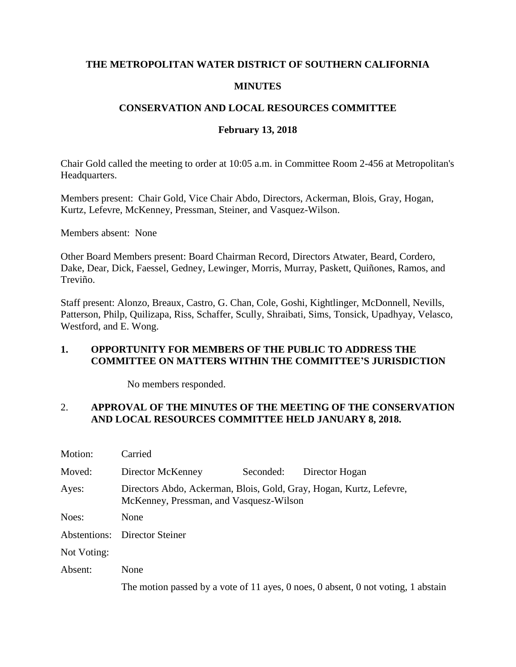#### **THE METROPOLITAN WATER DISTRICT OF SOUTHERN CALIFORNIA**

### **MINUTES**

### **CONSERVATION AND LOCAL RESOURCES COMMITTEE**

### **February 13, 2018**

Chair Gold called the meeting to order at 10:05 a.m. in Committee Room 2-456 at Metropolitan's Headquarters.

Members present: Chair Gold, Vice Chair Abdo, Directors, Ackerman, Blois, Gray, Hogan, Kurtz, Lefevre, McKenney, Pressman, Steiner, and Vasquez-Wilson.

Members absent: None

Other Board Members present: Board Chairman Record, Directors Atwater, Beard, Cordero, Dake, Dear, Dick, Faessel, Gedney, Lewinger, Morris, Murray, Paskett, Quiñones, Ramos, and Treviño.

Staff present: Alonzo, Breaux, Castro, G. Chan, Cole, Goshi, Kightlinger, McDonnell, Nevills, Patterson, Philp, Quilizapa, Riss, Schaffer, Scully, Shraibati, Sims, Tonsick, Upadhyay, Velasco, Westford, and E. Wong.

#### **1. OPPORTUNITY FOR MEMBERS OF THE PUBLIC TO ADDRESS THE COMMITTEE ON MATTERS WITHIN THE COMMITTEE'S JURISDICTION**

No members responded.

### 2. **APPROVAL OF THE MINUTES OF THE MEETING OF THE CONSERVATION AND LOCAL RESOURCES COMMITTEE HELD JANUARY 8, 2018.**

| Motion:     | Carried                                                                                                        |           |                |
|-------------|----------------------------------------------------------------------------------------------------------------|-----------|----------------|
| Moved:      | Director McKenney                                                                                              | Seconded: | Director Hogan |
| Ayes:       | Directors Abdo, Ackerman, Blois, Gold, Gray, Hogan, Kurtz, Lefevre,<br>McKenney, Pressman, and Vasquesz-Wilson |           |                |
| Noes:       | None                                                                                                           |           |                |
|             | <b>Abstentions:</b> Director Steiner                                                                           |           |                |
| Not Voting: |                                                                                                                |           |                |
| Absent:     | None                                                                                                           |           |                |
|             | The motion passed by a vote of 11 ayes, 0 noes, 0 absent, 0 not voting, 1 abstain                              |           |                |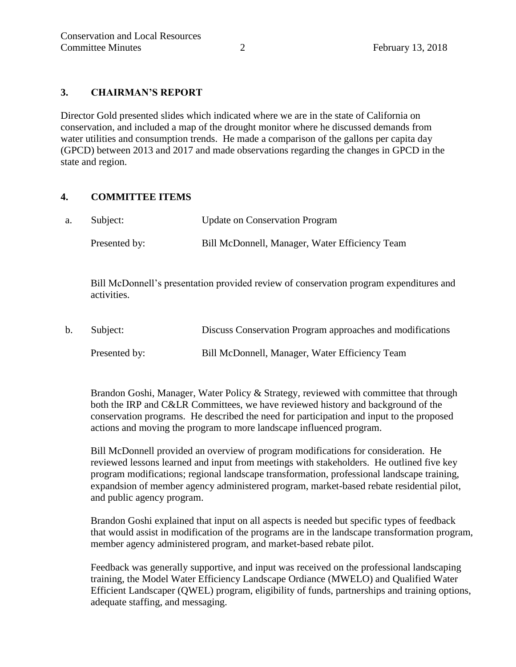### **3. CHAIRMAN'S REPORT**

Director Gold presented slides which indicated where we are in the state of California on conservation, and included a map of the drought monitor where he discussed demands from water utilities and consumption trends. He made a comparison of the gallons per capita day (GPCD) between 2013 and 2017 and made observations regarding the changes in GPCD in the state and region.

#### **4. COMMITTEE ITEMS**

| a. | Subject:      | <b>Update on Conservation Program</b>          |
|----|---------------|------------------------------------------------|
|    | Presented by: | Bill McDonnell, Manager, Water Efficiency Team |

Bill McDonnell's presentation provided review of conservation program expenditures and activities.

b. Subject: Discuss Conservation Program approaches and modifications Presented by: Bill McDonnell, Manager, Water Efficiency Team

Brandon Goshi, Manager, Water Policy & Strategy, reviewed with committee that through both the IRP and C&LR Committees, we have reviewed history and background of the conservation programs. He described the need for participation and input to the proposed actions and moving the program to more landscape influenced program.

Bill McDonnell provided an overview of program modifications for consideration. He reviewed lessons learned and input from meetings with stakeholders. He outlined five key program modifications; regional landscape transformation, professional landscape training, expandsion of member agency administered program, market-based rebate residential pilot, and public agency program.

Brandon Goshi explained that input on all aspects is needed but specific types of feedback that would assist in modification of the programs are in the landscape transformation program, member agency administered program, and market-based rebate pilot.

Feedback was generally supportive, and input was received on the professional landscaping training, the Model Water Efficiency Landscape Ordiance (MWELO) and Qualified Water Efficient Landscaper (QWEL) program, eligibility of funds, partnerships and training options, adequate staffing, and messaging.